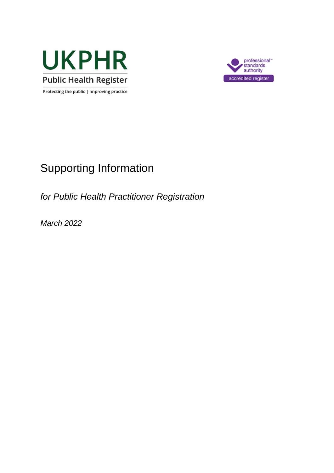



# Supporting Information

*for Public Health Practitioner Registration*

*March 2022*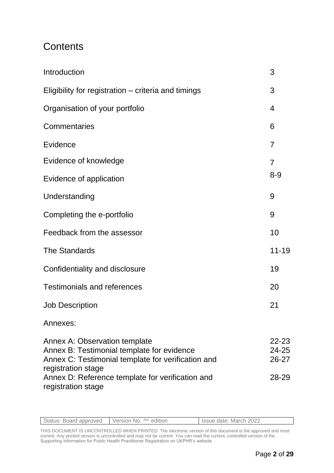## **Contents**

| Introduction                                                                                                                                                   | 3                       |
|----------------------------------------------------------------------------------------------------------------------------------------------------------------|-------------------------|
| Eligibility for registration – criteria and timings                                                                                                            | 3                       |
| Organisation of your portfolio                                                                                                                                 | 4                       |
| <b>Commentaries</b>                                                                                                                                            | 6                       |
| Evidence                                                                                                                                                       | 7                       |
| Evidence of knowledge                                                                                                                                          | $\overline{7}$          |
| Evidence of application                                                                                                                                        | $8 - 9$                 |
| Understanding                                                                                                                                                  | 9                       |
| Completing the e-portfolio                                                                                                                                     | 9                       |
| Feedback from the assessor                                                                                                                                     | 10                      |
| <b>The Standards</b>                                                                                                                                           | $11 - 19$               |
| Confidentiality and disclosure                                                                                                                                 | 19                      |
| <b>Testimonials and references</b>                                                                                                                             | 20                      |
| <b>Job Description</b>                                                                                                                                         | 21                      |
| Annexes:                                                                                                                                                       |                         |
| <b>Annex A: Observation template</b><br>Annex B: Testimonial template for evidence<br>Annex C: Testimonial template for verification and<br>registration stage | 22-23<br>24-25<br>26-27 |
| Annex D: Reference template for verification and<br>registration stage                                                                                         | 28-29                   |

| Status: Board approved | Version No. 3rd edition | Issue date: March 2022 |
|------------------------|-------------------------|------------------------|
|                        |                         |                        |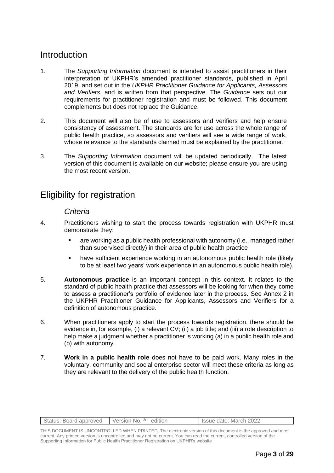### **Introduction**

- 1. The *Supporting Information* document is intended to assist practitioners in their interpretation of UKPHR's amended practitioner standards, published in April 2019, and set out in the *UKPHR Practitioner Guidance for Applicants, Assessors and Verifiers*, and is written from that perspective. The *Guidance* sets out our requirements for practitioner registration and must be followed. This document complements but does not replace the Guidance.
- 2. This document will also be of use to assessors and verifiers and help ensure consistency of assessment. The standards are for use across the whole range of public health practice, so assessors and verifiers will see a wide range of work, whose relevance to the standards claimed must be explained by the practitioner.
- 3. The *Supporting Information* document will be updated periodically. The latest version of this document is available on our website; please ensure you are using the most recent version.

### Eligibility for registration

#### *Criteria*

- 4. Practitioners wishing to start the process towards registration with UKPHR must demonstrate they:
	- are working as a public health professional with autonomy (i.e., managed rather than supervised directly) in their area of public health practice
	- have sufficient experience working in an autonomous public health role (likely to be at least two years' work experience in an autonomous public health role).
- 5. **Autonomous practice** is an important concept in this context. It relates to the standard of public health practice that assessors will be looking for when they come to assess a practitioner's portfolio of evidence later in the process. See Annex 2 in the UKPHR Practitioner Guidance for Applicants, Assessors and Verifiers for a definition of autonomous practice.
- 6. When practitioners apply to start the process towards registration, there should be evidence in, for example, (i) a relevant CV; (ii) a job title; and (iii) a role description to help make a judgment whether a practitioner is working (a) in a public health role and (b) with autonomy.
- 7. **Work in a public health role** does not have to be paid work. Many roles in the voluntary, community and social enterprise sector will meet these criteria as long as they are relevant to the delivery of the public health function.

| Status: Board approved   Version No. 3rd edition | Issue date: March 2022 |
|--------------------------------------------------|------------------------|
|                                                  |                        |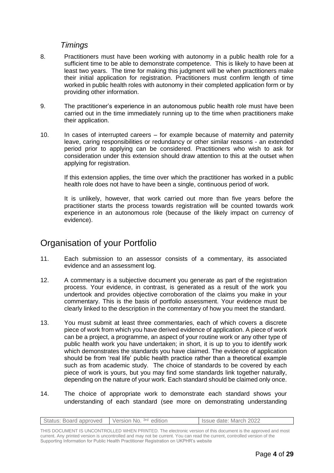#### *Timings*

- 8. Practitioners must have been working with autonomy in a public health role for a sufficient time to be able to demonstrate competence. This is likely to have been at least two years. The time for making this judgment will be when practitioners make their initial application for registration. Practitioners must confirm length of time worked in public health roles with autonomy in their completed application form or by providing other information.
- 9. The practitioner's experience in an autonomous public health role must have been carried out in the time immediately running up to the time when practitioners make their application.
- 10. In cases of interrupted careers for example because of maternity and paternity leave, caring responsibilities or redundancy or other similar reasons - an extended period prior to applying can be considered. Practitioners who wish to ask for consideration under this extension should draw attention to this at the outset when applying for registration.

If this extension applies, the time over which the practitioner has worked in a public health role does not have to have been a single, continuous period of work.

It is unlikely, however, that work carried out more than five years before the practitioner starts the process towards registration will be counted towards work experience in an autonomous role (because of the likely impact on currency of evidence).

## Organisation of your Portfolio

- 11. Each submission to an assessor consists of a commentary, its associated evidence and an assessment log.
- 12. A commentary is a subjective document you generate as part of the registration process. Your evidence, in contrast, is generated as a result of the work you undertook and provides objective corroboration of the claims you make in your commentary. This is the basis of portfolio assessment. Your evidence must be clearly linked to the description in the commentary of how you meet the standard.
- 13. You must submit at least three commentaries, each of which covers a discrete piece of work from which you have derived evidence of application. A piece of work can be a project, a programme, an aspect of your routine work or any other type of public health work you have undertaken; in short, it is up to you to identify work which demonstrates the standards you have claimed. The evidence of application should be from 'real life' public health practice rather than a theoretical example such as from academic study. The choice of standards to be covered by each piece of work is yours, but you may find some standards link together naturally, depending on the nature of your work. Each standard should be claimed only once.
- 14. The choice of appropriate work to demonstrate each standard shows your understanding of each standard (see more on demonstrating understanding

| Status: Board approved Version No. 3rd edition | Issue date: March 2022 |
|------------------------------------------------|------------------------|
|                                                |                        |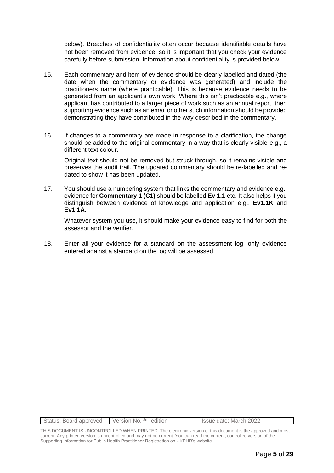below). Breaches of confidentiality often occur because identifiable details have not been removed from evidence, so it is important that you check your evidence carefully before submission. Information about confidentiality is provided below.

- 15. Each commentary and item of evidence should be clearly labelled and dated (the date when the commentary or evidence was generated) and include the practitioners name (where practicable). This is because evidence needs to be generated from an applicant's own work. Where this isn't practicable e.g., where applicant has contributed to a larger piece of work such as an annual report, then supporting evidence such as an email or other such information should be provided demonstrating they have contributed in the way described in the commentary.
- 16. If changes to a commentary are made in response to a clarification, the change should be added to the original commentary in a way that is clearly visible e.g., a different text colour.

Original text should not be removed but struck through, so it remains visible and preserves the audit trail. The updated commentary should be re-labelled and redated to show it has been updated.

17. You should use a numbering system that links the commentary and evidence e.g., evidence for **Commentary 1 (C1)** should be labelled **Ev 1.1** etc. It also helps if you distinguish between evidence of knowledge and application e.g., **Ev1.1K** and **Ev1.1A.**

Whatever system you use, it should make your evidence easy to find for both the assessor and the verifier.

18. Enter all your evidence for a standard on the assessment log; only evidence entered against a standard on the log will be assessed.

| Status: Board approved   Version No. 3rd edition | Issue date: March 2022 |
|--------------------------------------------------|------------------------|
|                                                  |                        |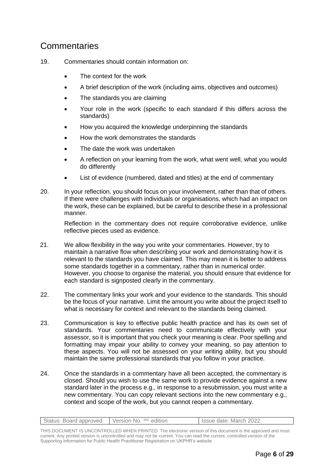## **Commentaries**

- 19. Commentaries should contain information on:
	- The context for the work
	- A brief description of the work (including aims, objectives and outcomes)
	- The standards you are claiming
	- Your role in the work (specific to each standard if this differs across the standards)
	- How you acquired the knowledge underpinning the standards
	- How the work demonstrates the standards
	- The date the work was undertaken
	- A reflection on your learning from the work, what went well, what you would do differently
	- List of evidence (numbered, dated and titles) at the end of commentary
- 20. In your reflection, you should focus on your involvement, rather than that of others. If there were challenges with individuals or organisations, which had an impact on the work, these can be explained, but be careful to describe these in a professional manner.

Reflection in the commentary does not require corroborative evidence, unlike reflective pieces used as evidence.

- 21. We allow flexibility in the way you write your commentaries. However, try to maintain a narrative flow when describing your work and demonstrating how it is relevant to the standards you have claimed. This may mean it is better to address some standards together in a commentary, rather than in numerical order. However, you choose to organise the material, you should ensure that evidence for each standard is signposted clearly in the commentary.
- 22. The commentary links your work and your evidence to the standards. This should be the focus of your narrative. Limit the amount you write about the project itself to what is necessary for context and relevant to the standards being claimed.
- 23. Communication is key to effective public health practice and has its own set of standards. Your commentaries need to communicate effectively with your assessor, so it is important that you check your meaning is clear. Poor spelling and formatting may impair your ability to convey your meaning, so pay attention to these aspects. You will not be assessed on your writing ability, but you should maintain the same professional standards that you follow in your practice.
- 24. Once the standards in a commentary have all been accepted, the commentary is closed. Should you wish to use the same work to provide evidence against a new standard later in the process e.g., in response to a resubmission, you must write a new commentary. You can copy relevant sections into the new commentary e.g., context and scope of the work, but you cannot reopen a commentary.

| Status: Board approved Version No. 3rd edition | Issue date: March 2022 |
|------------------------------------------------|------------------------|
|                                                |                        |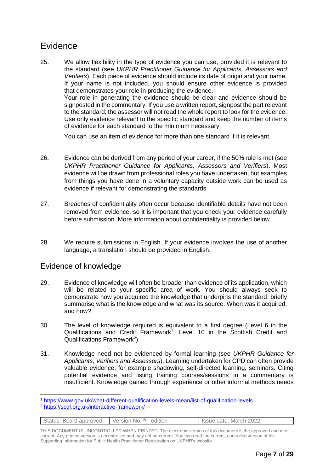## Evidence

25. We allow flexibility in the type of evidence you can use, provided it is relevant to the standard (see *UKPHR Practitioner Guidance for Applicants, Assessors and Verifiers*). Each piece of evidence should include its date of origin and your name. If your name is not included, you should ensure other evidence is provided that demonstrates your role in producing the evidence. Your role in generating the evidence should be clear and evidence should be signposted in the commentary. If you use a written report, signpost the part relevant to the standard; the assessor will not read the whole report to look for the evidence. Use only evidence relevant to the specific standard and keep the number of items of evidence for each standard to the minimum necessary.

You can use an item of evidence for more than one standard if it is relevant.

- 26. Evidence can be derived from any period of your career, if the 50% rule is met (see *UKPHR Practitioner Guidance for Applicants, Assessors and Verifiers*). Most evidence will be drawn from professional roles you have undertaken, but examples from things you have done in a voluntary capacity outside work can be used as evidence if relevant for demonstrating the standards.
- 27. Breaches of confidentiality often occur because identifiable details have not been removed from evidence, so it is important that you check your evidence carefully before submission. More information about confidentiality is provided below.
- 28. We require submissions in English. If your evidence involves the use of another language, a translation should be provided in English.

#### Evidence of knowledge

- 29. Evidence of knowledge will often be broader than evidence of its application, which will be related to your specific area of work. You should always seek to demonstrate how you acquired the knowledge that underpins the standard: briefly summarise what is the knowledge and what was its source. When was it acquired, and how?
- 30. The level of knowledge required is equivalent to a first degree (Level 6 in the Qualifications and Credit Framework<sup>1</sup>, Level 10 in the Scottish Credit and Qualifications Framework<sup>2</sup>).
- 31. Knowledge need not be evidenced by formal learning (see *UKPHR Guidance for Applicants, Verifiers and Assessors*). Learning undertaken for CPD can often provide valuable evidence, for example shadowing, self-directed learning, seminars. Citing potential evidence and listing training courses/sessions in a commentary is insufficient. Knowledge gained through experience or other informal methods needs

<sup>2</sup> <https://scqf.org.uk/interactive-framework/>

| Status: Board approved Version No. 3rd edition | Issue date: March 2022 |
|------------------------------------------------|------------------------|
|                                                |                        |

<sup>1</sup> <https://www.gov.uk/what-different-qualification-levels-mean/list-of-qualification-levels>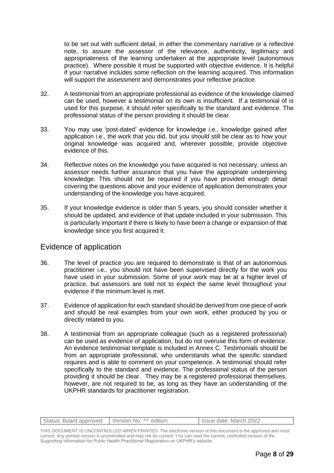to be set out with sufficient detail, in either the commentary narrative or a reflective note, to assure the assessor of the relevance, authenticity, legitimacy and appropriateness of the learning undertaken at the appropriate level (autonomous practice). Where possible it must be supported with objective evidence. It is helpful if your narrative includes some reflection on the learning acquired. This information will support the assessment and demonstrates your reflective practice.

- 32. A testimonial from an appropriate professional as evidence of the knowledge claimed can be used, however a testimonial on its own is insufficient. If a testimonial of is used for this purpose, it should refer specifically to the standard and evidence. The professional status of the person providing it should be clear.
- 33. You may use 'post-dated' evidence for knowledge i.e., knowledge gained after application i.e., the work that you did, but you should still be clear as to how your original knowledge was acquired and, wherever possible, provide objective evidence of this.
- 34. Reflective notes on the knowledge you have acquired is not necessary, unless an assessor needs further assurance that you have the appropriate underpinning knowledge. This should not be required if you have provided enough detail covering the questions above and your evidence of application demonstrates your understanding of the knowledge you have acquired.
- 35. If your knowledge evidence is older than 5 years, you should consider whether it should be updated, and evidence of that update included in your submission. This is particularly important if there is likely to have been a change or expansion of that knowledge since you first acquired it.

#### Evidence of application

- 36. The level of practice you are required to demonstrate is that of an autonomous practitioner i.e., you should not have been supervised directly for the work you have used in your submission. Some of your work may be at a higher level of practice, but assessors are told not to expect the same level throughout your evidence if the minimum level is met.
- 37. Evidence of application for each standard should be derived from one piece of work and should be real examples from your own work, either produced by you or directly related to you.
- 38. A testimonial from an appropriate colleague (such as a registered professional) can be used as evidence of application, but do not overuse this form of evidence. An evidence testimonial template is included in Annex C. Testimonials should be from an appropriate professional, who understands what the specific standard requires and is able to comment on your competence. A testimonial should refer specifically to the standard and evidence. The professional status of the person providing it should be clear. They may be a registered professional themselves, however, are not required to be, as long as they have an understanding of the UKPHR standards for practitioner registration.

| Status: Board approved | Version No. <sup>3rd</sup> edition | Issue date: March 2022 |
|------------------------|------------------------------------|------------------------|
|                        |                                    |                        |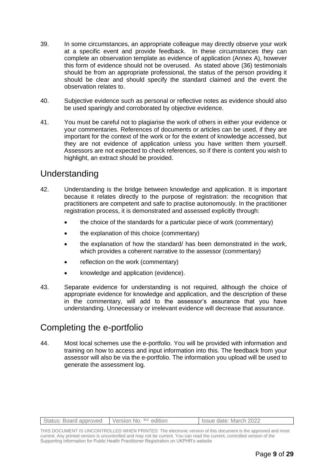- 39. In some circumstances, an appropriate colleague may directly observe your work at a specific event and provide feedback. In these circumstances they can complete an observation template as evidence of application (Annex A), however this form of evidence should not be overused. As stated above (36) testimonials should be from an appropriate professional, the status of the person providing it should be clear and should specify the standard claimed and the event the observation relates to.
- 40. Subjective evidence such as personal or reflective notes as evidence should also be used sparingly and corroborated by objective evidence.
- 41. You must be careful not to plagiarise the work of others in either your evidence or your commentaries. References of documents or articles can be used, if they are important for the context of the work or for the extent of knowledge accessed, but they are not evidence of application unless you have written them yourself. Assessors are not expected to check references, so if there is content you wish to highlight, an extract should be provided.

### Understanding

- 42. Understanding is the bridge between knowledge and application. It is important because it relates directly to the purpose of registration: the recognition that practitioners are competent and safe to practise autonomously. In the practitioner registration process, it is demonstrated and assessed explicitly through:
	- the choice of the standards for a particular piece of work (commentary)
	- the explanation of this choice (commentary)
	- the explanation of how the standard/ has been demonstrated in the work, which provides a coherent narrative to the assessor (commentary)
	- reflection on the work (commentary)
	- knowledge and application (evidence).
- 43. Separate evidence for understanding is not required, although the choice of appropriate evidence for knowledge and application, and the description of these in the commentary, will add to the assessor's assurance that you have understanding. Unnecessary or irrelevant evidence will decrease that assurance.

### Completing the e-portfolio

44. Most local schemes use the e-portfolio. You will be provided with information and training on how to access and input information into this. The feedback from your assessor will also be via the e-portfolio. The information you upload will be used to generate the assessment log.

| Status: Board approved Version No. 3rd edition | Issue date: March 2022 |
|------------------------------------------------|------------------------|
|                                                |                        |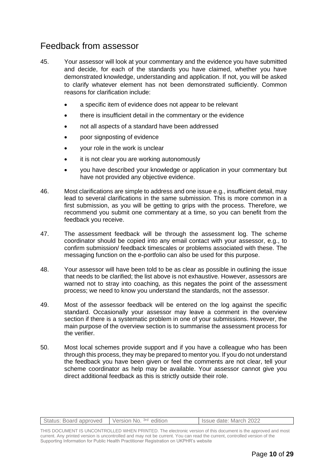### Feedback from assessor

- 45. Your assessor will look at your commentary and the evidence you have submitted and decide, for each of the standards you have claimed, whether you have demonstrated knowledge, understanding and application. If not, you will be asked to clarify whatever element has not been demonstrated sufficiently. Common reasons for clarification include:
	- a specific item of evidence does not appear to be relevant
	- there is insufficient detail in the commentary or the evidence
	- not all aspects of a standard have been addressed
	- poor signposting of evidence
	- your role in the work is unclear
	- it is not clear you are working autonomously
	- you have described your knowledge or application in your commentary but have not provided any objective evidence.
- 46. Most clarifications are simple to address and one issue e.g., insufficient detail, may lead to several clarifications in the same submission. This is more common in a first submission, as you will be getting to grips with the process. Therefore, we recommend you submit one commentary at a time, so you can benefit from the feedback you receive.
- 47. The assessment feedback will be through the assessment log. The scheme coordinator should be copied into any email contact with your assessor, e.g., to confirm submission/ feedback timescales or problems associated with these. The messaging function on the e-portfolio can also be used for this purpose.
- 48. Your assessor will have been told to be as clear as possible in outlining the issue that needs to be clarified; the list above is not exhaustive. However, assessors are warned not to stray into coaching, as this negates the point of the assessment process; we need to know you understand the standards, not the assessor.
- 49. Most of the assessor feedback will be entered on the log against the specific standard. Occasionally your assessor may leave a comment in the overview section if there is a systematic problem in one of your submissions. However, the main purpose of the overview section is to summarise the assessment process for the verifier.
- 50. Most local schemes provide support and if you have a colleague who has been through this process, they may be prepared to mentor you. If you do not understand the feedback you have been given or feel the comments are not clear, tell your scheme coordinator as help may be available. Your assessor cannot give you direct additional feedback as this is strictly outside their role.

| Status: Board approved Version No. 3rd edition | Issue date: March 2022 |
|------------------------------------------------|------------------------|
|                                                |                        |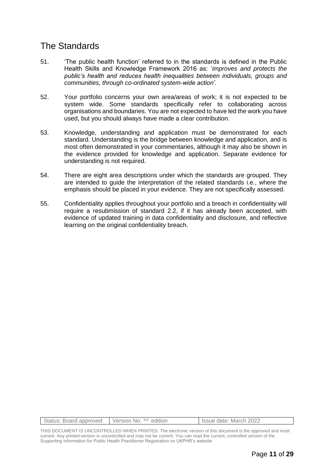## The Standards

- 51. 'The public health function' referred to in the standards is defined in the Public Health Skills and Knowledge Framework 2016 as: '*improves and protects the public's health and reduces health inequalities between individuals, groups and communities, through co-ordinated system-wide action'.*
- 52. Your portfolio concerns your own area/areas of work; it is not expected to be system wide. Some standards specifically refer to collaborating across organisations and boundaries. You are not expected to have led the work you have used, but you should always have made a clear contribution.
- 53. Knowledge, understanding and application must be demonstrated for each standard. Understanding is the bridge between knowledge and application, and is most often demonstrated in your commentaries, although it may also be shown in the evidence provided for knowledge and application. Separate evidence for understanding is not required.
- 54. There are eight area descriptions under which the standards are grouped. They are intended to guide the interpretation of the related standards i.e., where the emphasis should be placed in your evidence. They are not specifically assessed.
- 55. Confidentiality applies throughout your portfolio and a breach in confidentiality will require a resubmission of standard 2.2, if it has already been accepted, with evidence of updated training in data confidentiality and disclosure, and reflective learning on the original confidentiality breach.

| Status: Board approved Version No. 3rd edition | Issue date: March 2022 |
|------------------------------------------------|------------------------|
|                                                |                        |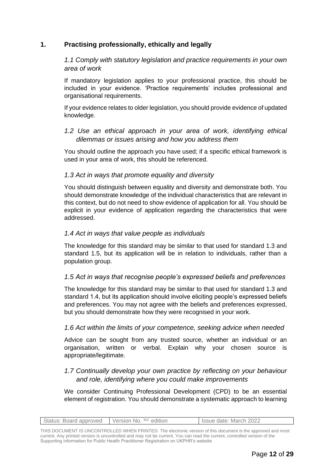#### **1. Practising professionally, ethically and legally**

*1.1 Comply with statutory legislation and practice requirements in your own area of work*

If mandatory legislation applies to your professional practice, this should be included in your evidence. 'Practice requirements' includes professional and organisational requirements.

If your evidence relates to older legislation, you should provide evidence of updated knowledge.

#### *1.2 Use an ethical approach in your area of work, identifying ethical dilemmas or issues arising and how you address them*

You should outline the approach you have used; if a specific ethical framework is used in your area of work, this should be referenced.

#### *1.3 Act in ways that promote equality and diversity*

You should distinguish between equality and diversity and demonstrate both. You should demonstrate knowledge of the individual characteristics that are relevant in this context, but do not need to show evidence of application for all. You should be explicit in your evidence of application regarding the characteristics that were addressed.

#### *1.4 Act in ways that value people as individuals*

The knowledge for this standard may be similar to that used for standard 1.3 and standard 1.5, but its application will be in relation to individuals, rather than a population group.

#### *1.5 Act in ways that recognise people's expressed beliefs and preferences*

The knowledge for this standard may be similar to that used for standard 1.3 and standard 1.4, but its application should involve eliciting people's expressed beliefs and preferences. You may not agree with the beliefs and preferences expressed, but you should demonstrate how they were recognised in your work.

#### *1.6 Act within the limits of your competence, seeking advice when needed*

Advice can be sought from any trusted source, whether an individual or an organisation, written or verbal. Explain why your chosen source is appropriate/legitimate.

#### *1.7 Continually develop your own practice by reflecting on your behaviour and role, identifying where you could make improvements*

We consider Continuing Professional Development (CPD) to be an essential element of registration. You should demonstrate a systematic approach to learning

|  | Status: Board approved Version No. 3rd edition |  | Issue date: March 2022 |
|--|------------------------------------------------|--|------------------------|
|--|------------------------------------------------|--|------------------------|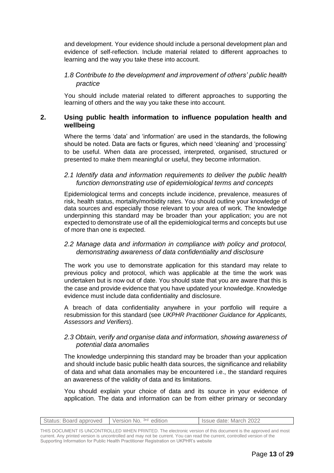and development. Your evidence should include a personal development plan and evidence of self-reflection. Include material related to different approaches to learning and the way you take these into account.

#### *1.8 Contribute to the development and improvement of others' public health practice*

You should include material related to different approaches to supporting the learning of others and the way you take these into account.

#### **2. Using public health information to influence population health and wellbeing**

Where the terms 'data' and 'information' are used in the standards, the following should be noted. Data are facts or figures, which need 'cleaning' and 'processing' to be useful. When data are processed, interpreted, organised, structured or presented to make them meaningful or useful, they become information.

#### *2.1 Identify data and information requirements to deliver the public health function demonstrating use of epidemiological terms and concepts*

Epidemiological terms and concepts include incidence, prevalence, measures of risk, health status, mortality/morbidity rates. You should outline your knowledge of data sources and especially those relevant to your area of work. The knowledge underpinning this standard may be broader than your application; you are not expected to demonstrate use of all the epidemiological terms and concepts but use of more than one is expected.

#### *2.2 Manage data and information in compliance with policy and protocol, demonstrating awareness of data confidentiality and disclosure*

The work you use to demonstrate application for this standard may relate to previous policy and protocol, which was applicable at the time the work was undertaken but is now out of date. You should state that you are aware that this is the case and provide evidence that you have updated your knowledge. Knowledge evidence must include data confidentiality and disclosure.

A breach of data confidentiality anywhere in your portfolio will require a resubmission for this standard (see *UKPHR Practitioner Guidance for Applicants, Assessors and Verifiers*).

#### *2.3 Obtain, verify and organise data and information, showing awareness of potential data anomalies*

The knowledge underpinning this standard may be broader than your application and should include basic public health data sources, the significance and reliability of data and what data anomalies may be encountered i.e., the standard requires an awareness of the validity of data and its limitations.

You should explain your choice of data and its source in your evidence of application. The data and information can be from either primary or secondary

| Status: Board approved Version No. 3rd edition | <b>I</b> Issue date: March 2022 |
|------------------------------------------------|---------------------------------|
|                                                |                                 |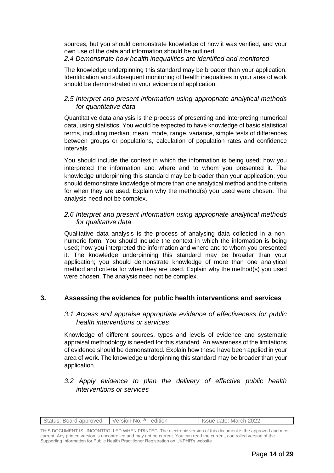sources, but you should demonstrate knowledge of how it was verified, and your own use of the data and information should be outlined.

#### *2.4 Demonstrate how health inequalities are identified and monitored*

The knowledge underpinning this standard may be broader than your application. Identification and subsequent monitoring of health inequalities in your area of work should be demonstrated in your evidence of application.

#### *2.5 Interpret and present information using appropriate analytical methods for quantitative data*

Quantitative data analysis is the process of presenting and interpreting numerical data, using statistics. You would be expected to have knowledge of basic statistical terms, including median, mean, mode, range, variance, simple tests of differences between groups or populations, calculation of population rates and confidence intervals.

You should include the context in which the information is being used; how you interpreted the information and where and to whom you presented it. The knowledge underpinning this standard may be broader than your application; you should demonstrate knowledge of more than one analytical method and the criteria for when they are used. Explain why the method(s) you used were chosen. The analysis need not be complex.

#### *2.6 Interpret and present information using appropriate analytical methods for qualitative data*

Qualitative data analysis is the process of analysing data collected in a nonnumeric form. You should include the context in which the information is being used; how you interpreted the information and where and to whom you presented it. The knowledge underpinning this standard may be broader than your application; you should demonstrate knowledge of more than one analytical method and criteria for when they are used. Explain why the method(s) you used were chosen. The analysis need not be complex.

#### **3. Assessing the evidence for public health interventions and services**

#### *3.1 Access and appraise appropriate evidence of effectiveness for public health interventions or services*

Knowledge of different sources, types and levels of evidence and systematic appraisal methodology is needed for this standard. An awareness of the limitations of evidence should be demonstrated. Explain how these have been applied in your area of work. The knowledge underpinning this standard may be broader than your application.

#### *3.2 Apply evidence to plan the delivery of effective public health interventions or services*

|  | Status: Board approved Version No. 3rd edition |  | I Issue date: March 2022 |
|--|------------------------------------------------|--|--------------------------|
|--|------------------------------------------------|--|--------------------------|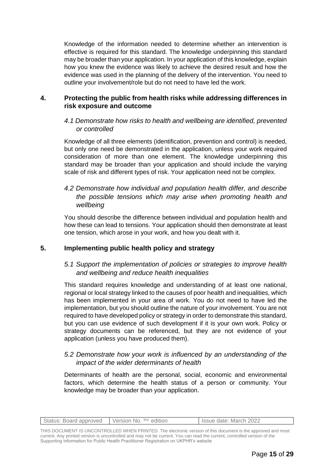Knowledge of the information needed to determine whether an intervention is effective is required for this standard. The knowledge underpinning this standard may be broader than your application. In your application of this knowledge, explain how you knew the evidence was likely to achieve the desired result and how the evidence was used in the planning of the delivery of the intervention. You need to outline your involvement/role but do not need to have led the work.

#### **4. Protecting the public from health risks while addressing differences in risk exposure and outcome**

#### *4.1 Demonstrate how risks to health and wellbeing are identified, prevented or controlled*

Knowledge of all three elements (identification, prevention and control) is needed, but only one need be demonstrated in the application, unless your work required consideration of more than one element. The knowledge underpinning this standard may be broader than your application and should include the varying scale of risk and different types of risk. Your application need not be complex.

#### *4.2 Demonstrate how individual and population health differ, and describe the possible tensions which may arise when promoting health and wellbeing*

You should describe the difference between individual and population health and how these can lead to tensions. Your application should then demonstrate at least one tension, which arose in your work, and how you dealt with it.

#### **5. Implementing public health policy and strategy**

#### *5.1 Support the implementation of policies or strategies to improve health and wellbeing and reduce health inequalities*

This standard requires knowledge and understanding of at least one national, regional or local strategy linked to the causes of poor health and inequalities, which has been implemented in your area of work. You do not need to have led the implementation, but you should outline the nature of your involvement. You are not required to have developed policy or strategy in order to demonstrate this standard, but you can use evidence of such development if it is your own work. Policy or strategy documents can be referenced, but they are not evidence of your application (unless you have produced them).

#### *5.2 Demonstrate how your work is influenced by an understanding of the impact of the wider determinants of health*

Determinants of health are the personal, social, economic and environmental factors, which determine the health status of a person or community. Your knowledge may be broader than your application.

| Status: Board approved   Version No. 3rd edition | Issue date: March 2022 |
|--------------------------------------------------|------------------------|
|                                                  |                        |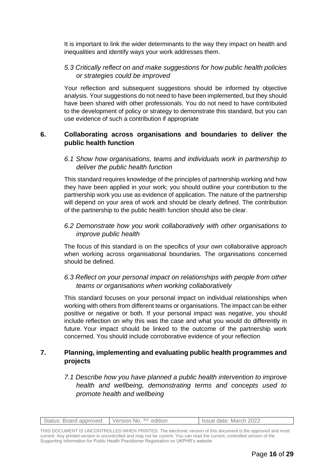It is important to link the wider determinants to the way they impact on health and inequalities and identify ways your work addresses them.

#### *5.3 Critically reflect on and make suggestions for how public health policies or strategies could be improved*

Your reflection and subsequent suggestions should be informed by objective analysis. Your suggestions do not need to have been implemented, but they should have been shared with other professionals. You do not need to have contributed to the development of policy or strategy to demonstrate this standard, but you can use evidence of such a contribution if appropriate

#### **6. Collaborating across organisations and boundaries to deliver the public health function**

#### *6.1 Show how organisations, teams and individuals work in partnership to deliver the public health function*

This standard requires knowledge of the principles of partnership working and how they have been applied in your work; you should outline your contribution to the partnership work you use as evidence of application. The nature of the partnership will depend on your area of work and should be clearly defined. The contribution of the partnership to the public health function should also be clear.

#### *6.2 Demonstrate how you work collaboratively with other organisations to improve public health*

The focus of this standard is on the specifics of your own collaborative approach when working across organisational boundaries. The organisations concerned should be defined.

#### *6.3 Reflect on your personal impact on relationships with people from other teams or organisations when working collaboratively*

This standard focuses on your personal impact on individual relationships when working with others from different teams or organisations. The impact can be either positive or negative or both. If your personal impact was negative, you should include reflection on why this was the case and what you would do differently in future. Your impact should be linked to the outcome of the partnership work concerned. You should include corroborative evidence of your reflection

#### **7. Planning, implementing and evaluating public health programmes and projects**

*7.1 Describe how you have planned a public health intervention to improve health and wellbeing, demonstrating terms and concepts used to promote health and wellbeing*

|  | Status: Board approved Version No. 3rd edition |  | <b>Solution Issue date: March 2022</b> |
|--|------------------------------------------------|--|----------------------------------------|
|--|------------------------------------------------|--|----------------------------------------|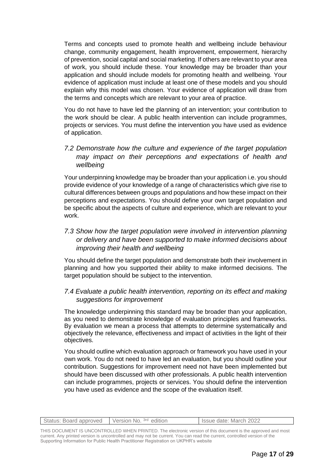Terms and concepts used to promote health and wellbeing include behaviour change, community engagement, health improvement, empowerment, hierarchy of prevention, social capital and social marketing. If others are relevant to your area of work, you should include these. Your knowledge may be broader than your application and should include models for promoting health and wellbeing. Your evidence of application must include at least one of these models and you should explain why this model was chosen. Your evidence of application will draw from the terms and concepts which are relevant to your area of practice.

You do not have to have led the planning of an intervention; your contribution to the work should be clear. A public health intervention can include programmes, projects or services. You must define the intervention you have used as evidence of application.

#### *7.2 Demonstrate how the culture and experience of the target population may impact on their perceptions and expectations of health and wellbeing*

Your underpinning knowledge may be broader than your application i.e. you should provide evidence of your knowledge of a range of characteristics which give rise to cultural differences between groups and populations and how these impact on their perceptions and expectations. You should define your own target population and be specific about the aspects of culture and experience, which are relevant to your work.

#### *7.3 Show how the target population were involved in intervention planning or delivery and have been supported to make informed decisions about improving their health and wellbeing*

You should define the target population and demonstrate both their involvement in planning and how you supported their ability to make informed decisions. The target population should be subject to the intervention.

#### *7.4 Evaluate a public health intervention, reporting on its effect and making suggestions for improvement*

The knowledge underpinning this standard may be broader than your application, as you need to demonstrate knowledge of evaluation principles and frameworks. By evaluation we mean a process that attempts to determine systematically and objectively the relevance, effectiveness and impact of activities in the light of their objectives.

You should outline which evaluation approach or framework you have used in your own work. You do not need to have led an evaluation, but you should outline your contribution. Suggestions for improvement need not have been implemented but should have been discussed with other professionals. A public health intervention can include programmes, projects or services. You should define the intervention you have used as evidence and the scope of the evaluation itself.

| Status: Board approved | Version No. 3rd edition | Issue date: March 2022 |
|------------------------|-------------------------|------------------------|
|                        |                         |                        |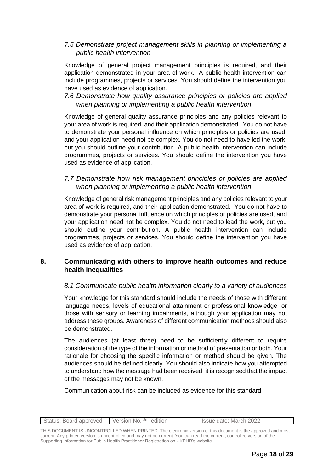#### *7.5 Demonstrate project management skills in planning or implementing a public health intervention*

Knowledge of general project management principles is required, and their application demonstrated in your area of work. A public health intervention can include programmes, projects or services. You should define the intervention you have used as evidence of application.

#### *7.6 Demonstrate how quality assurance principles or policies are applied when planning or implementing a public health intervention*

Knowledge of general quality assurance principles and any policies relevant to your area of work is required, and their application demonstrated. You do not have to demonstrate your personal influence on which principles or policies are used, and your application need not be complex. You do not need to have led the work, but you should outline your contribution. A public health intervention can include programmes, projects or services. You should define the intervention you have used as evidence of application.

#### *7.7 Demonstrate how risk management principles or policies are applied when planning or implementing a public health intervention*

Knowledge of general risk management principles and any policies relevant to your area of work is required, and their application demonstrated. You do not have to demonstrate your personal influence on which principles or policies are used, and your application need not be complex. You do not need to lead the work, but you should outline your contribution. A public health intervention can include programmes, projects or services. You should define the intervention you have used as evidence of application.

#### **8. Communicating with others to improve health outcomes and reduce health inequalities**

#### *8.1 Communicate public health information clearly to a variety of audiences*

Your knowledge for this standard should include the needs of those with different language needs, levels of educational attainment or professional knowledge, or those with sensory or learning impairments, although your application may not address these groups. Awareness of different communication methods should also be demonstrated.

The audiences (at least three) need to be sufficiently different to require consideration of the type of the information or method of presentation or both. Your rationale for choosing the specific information or method should be given. The audiences should be defined clearly. You should also indicate how you attempted to understand how the message had been received; it is recognised that the impact of the messages may not be known.

Communication about risk can be included as evidence for this standard.

| Version No. <sup>3rd</sup> edition<br>Status: Board approved<br>Issue date: March 2022 |
|----------------------------------------------------------------------------------------|
|----------------------------------------------------------------------------------------|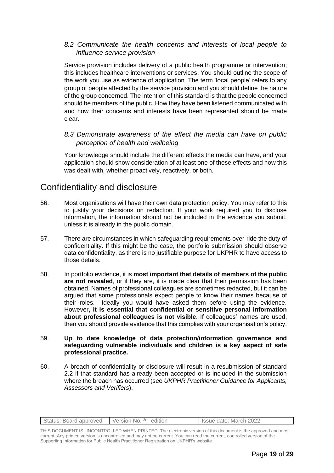#### *8.2 Communicate the health concerns and interests of local people to influence service provision*

Service provision includes delivery of a public health programme or intervention; this includes healthcare interventions or services. You should outline the scope of the work you use as evidence of application. The term 'local people' refers to any group of people affected by the service provision and you should define the nature of the group concerned. The intention of this standard is that the people concerned should be members of the public. How they have been listened communicated with and how their concerns and interests have been represented should be made clear.

#### *8.3 Demonstrate awareness of the effect the media can have on public perception of health and wellbeing*

Your knowledge should include the different effects the media can have, and your application should show consideration of at least one of these effects and how this was dealt with, whether proactively, reactively, or both.

## Confidentiality and disclosure

- 56. Most organisations will have their own data protection policy. You may refer to this to justify your decisions on redaction. If your work required you to disclose information, the information should not be included in the evidence you submit, unless it is already in the public domain.
- 57. There are circumstances in which safeguarding requirements over-ride the duty of confidentiality. If this might be the case, the portfolio submission should observe data confidentiality, as there is no justifiable purpose for UKPHR to have access to those details.
- 58. In portfolio evidence, it is **most important that details of members of the public are not revealed**, or if they are, it is made clear that their permission has been obtained. Names of professional colleagues are sometimes redacted, but it can be argued that some professionals expect people to know their names because of their roles. Ideally you would have asked them before using the evidence. However**, it is essential that confidential or sensitive personal information about professional colleagues is not visible**. If colleagues' names are used, then you should provide evidence that this complies with your organisation's policy.

#### 59. **Up to date knowledge of data protection/information governance and safeguarding vulnerable individuals and children is a key aspect of safe professional practice.**

60. A breach of confidentiality or disclosure will result in a resubmission of standard 2.2 if that standard has already been accepted or is included in the submission where the breach has occurred (see *UKPHR Practitioner Guidance for Applicants, Assessors and Verifiers*).

| Status: Board approved Version No. 3rd edition | Issue date: March 2022 |
|------------------------------------------------|------------------------|
|                                                |                        |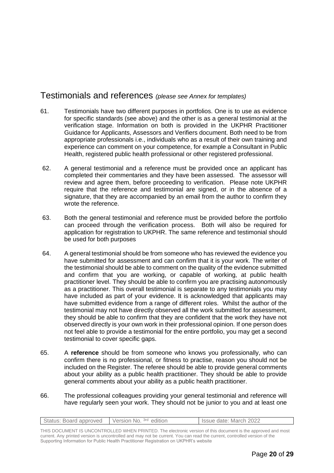### Testimonials and references *(please see Annex for templates)*

- 61. Testimonials have two different purposes in portfolios. One is to use as evidence for specific standards (see above) and the other is as a general testimonial at the verification stage. Information on both is provided in the UKPHR Practitioner Guidance for Applicants, Assessors and Verifiers document. Both need to be from appropriate professionals i.e., individuals who as a result of their own training and experience can comment on your competence, for example a Consultant in Public Health, registered public health professional or other registered professional.
- 62. A general testimonial and a reference must be provided once an applicant has completed their commentaries and they have been assessed. The assessor will review and agree them, before proceeding to verification. Please note UKPHR require that the reference and testimonial are signed, or in the absence of a signature, that they are accompanied by an email from the author to confirm they wrote the reference.
- 63. Both the general testimonial and reference must be provided before the portfolio can proceed through the verification process. Both will also be required for application for registration to UKPHR. The same reference and testimonial should be used for both purposes
- 64. A general testimonial should be from someone who has reviewed the evidence you have submitted for assessment and can confirm that it is your work. The writer of the testimonial should be able to comment on the quality of the evidence submitted and confirm that you are working, or capable of working, at public health practitioner level. They should be able to confirm you are practising autonomously as a practitioner. This overall testimonial is separate to any testimonials you may have included as part of your evidence. It is acknowledged that applicants may have submitted evidence from a range of different roles. Whilst the author of the testimonial may not have directly observed all the work submitted for assessment, they should be able to confirm that they are confident that the work they have not observed directly is your own work in their professional opinion. If one person does not feel able to provide a testimonial for the entire portfolio, you may get a second testimonial to cover specific gaps.
- 65. A **reference** should be from someone who knows you professionally, who can confirm there is no professional, or fitness to practise, reason you should not be included on the Register. The referee should be able to provide general comments about your ability as a public health practitioner. They should be able to provide general comments about your ability as a public health practitioner.
- 66. The professional colleagues providing your general testimonial and reference will have regularly seen your work. They should not be junior to you and at least one

| Status: Board approved Version No. 3rd edition | I Issue date: March 2022 |
|------------------------------------------------|--------------------------|
|                                                |                          |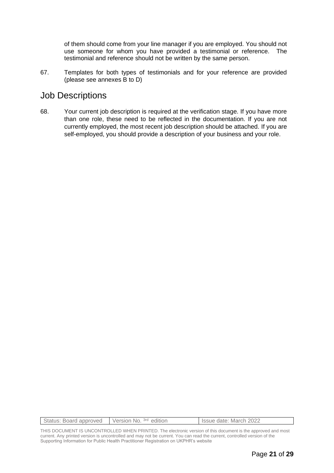of them should come from your line manager if you are employed. You should not use someone for whom you have provided a testimonial or reference. The testimonial and reference should not be written by the same person.

67. Templates for both types of testimonials and for your reference are provided (please see annexes B to D)

### Job Descriptions

68. Your current job description is required at the verification stage. If you have more than one role, these need to be reflected in the documentation. If you are not currently employed, the most recent job description should be attached. If you are self-employed, you should provide a description of your business and your role.

| Status: Board approved Version No. 3rd edition | I Issue date: March 2022 |
|------------------------------------------------|--------------------------|
|                                                |                          |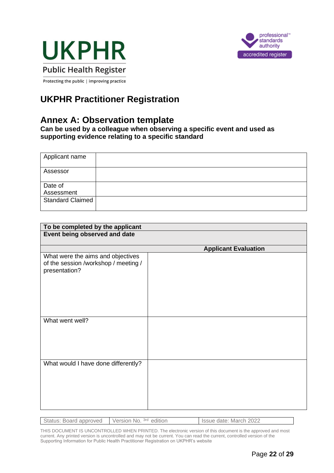



Protecting the public | improving practice

## **UKPHR Practitioner Registration**

## **Annex A: Observation template**

**Can be used by a colleague when observing a specific event and used as supporting evidence relating to a specific standard**

| Applicant name          |  |
|-------------------------|--|
| Assessor                |  |
| Date of                 |  |
| Assessment              |  |
| <b>Standard Claimed</b> |  |

| To be completed by the applicant                                                           |                             |
|--------------------------------------------------------------------------------------------|-----------------------------|
| Event being observed and date                                                              |                             |
|                                                                                            | <b>Applicant Evaluation</b> |
| What were the aims and objectives<br>of the session /workshop / meeting /<br>presentation? |                             |
| What went well?                                                                            |                             |
| What would I have done differently?                                                        |                             |

| Status: Board approved   Version No. 3rd edition | Issue date: March 2022 |
|--------------------------------------------------|------------------------|
|                                                  |                        |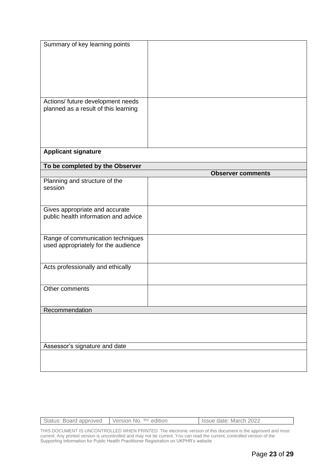| Summary of key learning points                                            |                          |
|---------------------------------------------------------------------------|--------------------------|
| Actions/ future development needs<br>planned as a result of this learning |                          |
| <b>Applicant signature</b>                                                |                          |
| To be completed by the Observer                                           |                          |
|                                                                           | <b>Observer comments</b> |
| Planning and structure of the<br>session                                  |                          |
| Gives appropriate and accurate<br>public health information and advice    |                          |
| Range of communication techniques<br>used appropriately for the audience  |                          |
| Acts professionally and ethically                                         |                          |
| Other comments                                                            |                          |
| Recommendation                                                            |                          |
|                                                                           |                          |
| Assessor's signature and date                                             |                          |
|                                                                           |                          |

| Status: Board approved Version No. 3rd edition | Issue date: March 2022 |
|------------------------------------------------|------------------------|
|                                                |                        |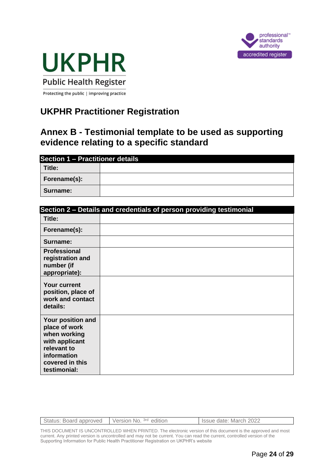



Protecting the public | improving practice

## **UKPHR Practitioner Registration**

## **Annex B - Testimonial template to be used as supporting evidence relating to a specific standard**

| <b>Section 1 - Practitioner details</b> |  |  |
|-----------------------------------------|--|--|
| Title:                                  |  |  |
| Forename(s):                            |  |  |
| Surname:                                |  |  |

| Section 2 - Details and credentials of person providing testimonial                                                                   |  |  |
|---------------------------------------------------------------------------------------------------------------------------------------|--|--|
| Title:                                                                                                                                |  |  |
| Forename(s):                                                                                                                          |  |  |
| Surname:                                                                                                                              |  |  |
| <b>Professional</b><br>registration and<br>number (if<br>appropriate):                                                                |  |  |
| <b>Your current</b><br>position, place of<br>work and contact<br>details:                                                             |  |  |
| Your position and<br>place of work<br>when working<br>with applicant<br>relevant to<br>information<br>covered in this<br>testimonial: |  |  |

| Status: Board approved Version No. 3rd edition | Issue date: March 2022 |
|------------------------------------------------|------------------------|
|                                                |                        |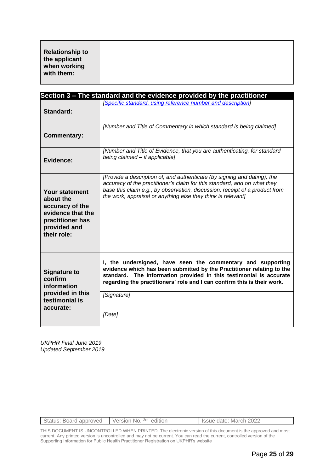| <b>Relationship to</b> |
|------------------------|
| the applicant          |
| when working           |
| with them:             |

|                                                                                                                               | Section 3 – The standard and the evidence provided by the practitioner                                                                                                                                                                                                                              |
|-------------------------------------------------------------------------------------------------------------------------------|-----------------------------------------------------------------------------------------------------------------------------------------------------------------------------------------------------------------------------------------------------------------------------------------------------|
| Standard:                                                                                                                     | [Specific standard, using reference number and description]                                                                                                                                                                                                                                         |
| <b>Commentary:</b>                                                                                                            | [Number and Title of Commentary in which standard is being claimed]                                                                                                                                                                                                                                 |
| Evidence:                                                                                                                     | [Number and Title of Evidence, that you are authenticating, for standard<br>being claimed - if applicable]                                                                                                                                                                                          |
| <b>Your statement</b><br>about the<br>accuracy of the<br>evidence that the<br>practitioner has<br>provided and<br>their role: | [Provide a description of, and authenticate (by signing and dating), the<br>accuracy of the practitioner's claim for this standard, and on what they<br>base this claim e.g., by observation, discussion, receipt of a product from<br>the work, appraisal or anything else they think is relevant] |
| <b>Signature to</b><br>confirm<br>information<br>provided in this                                                             | I, the undersigned, have seen the commentary and supporting<br>evidence which has been submitted by the Practitioner relating to the<br>standard. The information provided in this testimonial is accurate<br>regarding the practitioners' role and I can confirm this is their work.               |
| testimonial is<br>accurate:                                                                                                   | [Signature]                                                                                                                                                                                                                                                                                         |
|                                                                                                                               | [Date]                                                                                                                                                                                                                                                                                              |

*UKPHR Final June 2019 Updated September 2019*

| Status: Board approved Version No. 3rd edition | Issue date: March 2022 |
|------------------------------------------------|------------------------|
|                                                |                        |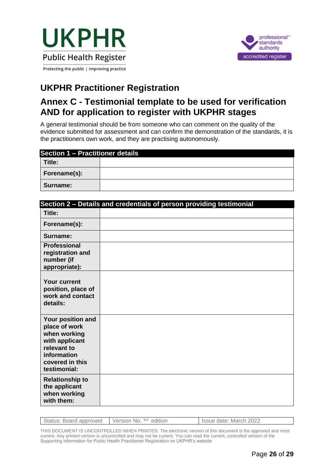



## **UKPHR Practitioner Registration**

## **Annex C - Testimonial template to be used for verification AND for application to register with UKPHR stages**

A general testimonial should be from someone who can comment on the quality of the evidence submitted for assessment and can confirm the demonstration of the standards, it is the practitioners own work, and they are practising autonomously.

| Section 1 - Practitioner details |  |  |
|----------------------------------|--|--|
| Title:                           |  |  |
| Forename(s):                     |  |  |
| Surname:                         |  |  |

|                                                                                                                                       | Section 2 - Details and credentials of person providing testimonial |
|---------------------------------------------------------------------------------------------------------------------------------------|---------------------------------------------------------------------|
| Title:                                                                                                                                |                                                                     |
| Forename(s):                                                                                                                          |                                                                     |
| Surname:                                                                                                                              |                                                                     |
| <b>Professional</b><br>registration and<br>number (if<br>appropriate):                                                                |                                                                     |
| <b>Your current</b><br>position, place of<br>work and contact<br>details:                                                             |                                                                     |
| Your position and<br>place of work<br>when working<br>with applicant<br>relevant to<br>information<br>covered in this<br>testimonial: |                                                                     |
| <b>Relationship to</b><br>the applicant<br>when working<br>with them:                                                                 |                                                                     |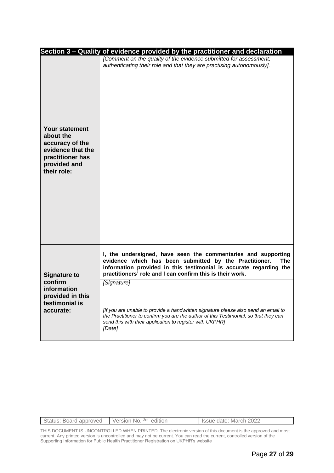|                                                                                                                               | Section 3 - Quality of evidence provided by the practitioner and declaration                                                                                                                                                                                      |
|-------------------------------------------------------------------------------------------------------------------------------|-------------------------------------------------------------------------------------------------------------------------------------------------------------------------------------------------------------------------------------------------------------------|
| <b>Your statement</b><br>about the<br>accuracy of the<br>evidence that the<br>practitioner has<br>provided and<br>their role: | [Comment on the quality of the evidence submitted for assessment;<br>authenticating their role and that they are practising autonomously].                                                                                                                        |
| <b>Signature to</b><br>confirm<br>information<br>provided in this<br>testimonial is<br>accurate:                              | I, the undersigned, have seen the commentaries and supporting<br>evidence which has been submitted by the Practitioner.<br>The<br>information provided in this testimonial is accurate regarding the<br>practitioners' role and I can confirm this is their work. |
|                                                                                                                               | [Signature]<br>[If you are unable to provide a handwritten signature please also send an email to<br>the Practitioner to confirm you are the author of this Testimonial, so that they can<br>send this with their application to register with UKPHR]             |
|                                                                                                                               | [Date]                                                                                                                                                                                                                                                            |

| Status: Board approved Version No. 3rd edition | Issue date: March 2022 |
|------------------------------------------------|------------------------|
|                                                |                        |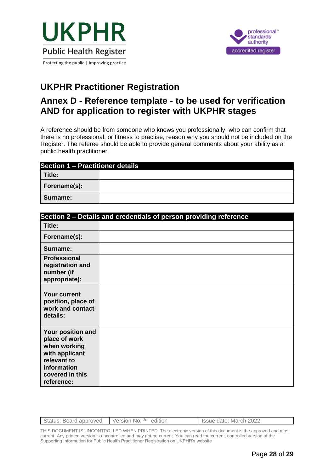



## **UKPHR Practitioner Registration**

## **Annex D - Reference template - to be used for verification AND for application to register with UKPHR stages**

A reference should be from someone who knows you professionally, who can confirm that there is no professional, or fitness to practise, reason why you should not be included on the Register. The referee should be able to provide general comments about your ability as a public health practitioner.

| <b>Section 1 - Practitioner details</b> |  |  |
|-----------------------------------------|--|--|
| Title:                                  |  |  |
| Forename(s):                            |  |  |
| Surname:                                |  |  |

|                                                                                                                                     | Section 2 - Details and credentials of person providing reference |
|-------------------------------------------------------------------------------------------------------------------------------------|-------------------------------------------------------------------|
| Title:                                                                                                                              |                                                                   |
| Forename(s):                                                                                                                        |                                                                   |
| Surname:                                                                                                                            |                                                                   |
| <b>Professional</b><br>registration and<br>number (if<br>appropriate):                                                              |                                                                   |
| <b>Your current</b><br>position, place of<br>work and contact<br>details:                                                           |                                                                   |
| Your position and<br>place of work<br>when working<br>with applicant<br>relevant to<br>information<br>covered in this<br>reference: |                                                                   |

| Status: Board approved Version No. 3rd edition | I Issue date: March 2022 |
|------------------------------------------------|--------------------------|
|                                                |                          |